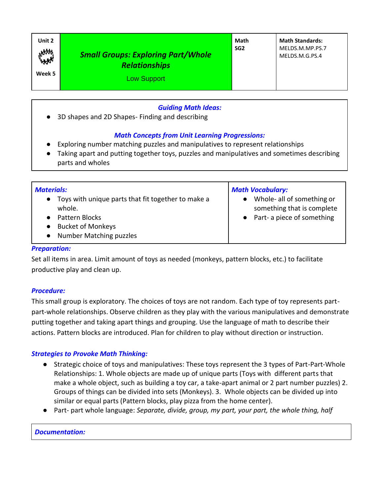| Unit 2<br>HAM<br>Week 5 | <b>Small Groups: Exploring Part/Whole</b><br><b>Relationships</b><br><b>Low Support</b> | Math<br>SG <sub>2</sub> | <b>Math Standards:</b><br>MELDS.M.MP.PS.7<br>MELDS.M.G.PS.4 |
|-------------------------|-----------------------------------------------------------------------------------------|-------------------------|-------------------------------------------------------------|
|-------------------------|-----------------------------------------------------------------------------------------|-------------------------|-------------------------------------------------------------|

### *Guiding Math Ideas:*

3D shapes and 2D Shapes- Finding and describing

### *Math Concepts from Unit Learning Progressions:*

- Exploring number matching puzzles and manipulatives to represent relationships
- Taking apart and putting together toys, puzzles and manipulatives and sometimes describing parts and wholes

| <b>Materials:</b>                                                                                                                       | <b>Math Vocabulary:</b>                                                                  |  |
|-----------------------------------------------------------------------------------------------------------------------------------------|------------------------------------------------------------------------------------------|--|
| • Toys with unique parts that fit together to make a<br>whole.<br>Pattern Blocks<br><b>Bucket of Monkeys</b><br>Number Matching puzzles | Whole- all of something or<br>something that is complete<br>• Part- a piece of something |  |

#### *Preparation:*

Set all items in area. Limit amount of toys as needed (monkeys, pattern blocks, etc.) to facilitate productive play and clean up.

# *Procedure:*

This small group is exploratory. The choices of toys are not random. Each type of toy represents partpart-whole relationships. Observe children as they play with the various manipulatives and demonstrate putting together and taking apart things and grouping. Use the language of math to describe their actions. Pattern blocks are introduced. Plan for children to play without direction or instruction.

# *Strategies to Provoke Math Thinking:*

- Strategic choice of toys and manipulatives: These toys represent the 3 types of Part-Part-Whole Relationships: 1. Whole objects are made up of unique parts (Toys with different parts that make a whole object, such as building a toy car, a take-apart animal or 2 part number puzzles) 2. Groups of things can be divided into sets (Monkeys). 3. Whole objects can be divided up into similar or equal parts (Pattern blocks, play pizza from the home center).
- Part- part whole language: *Separate, divide, group, my part, your part, the whole thing, half*